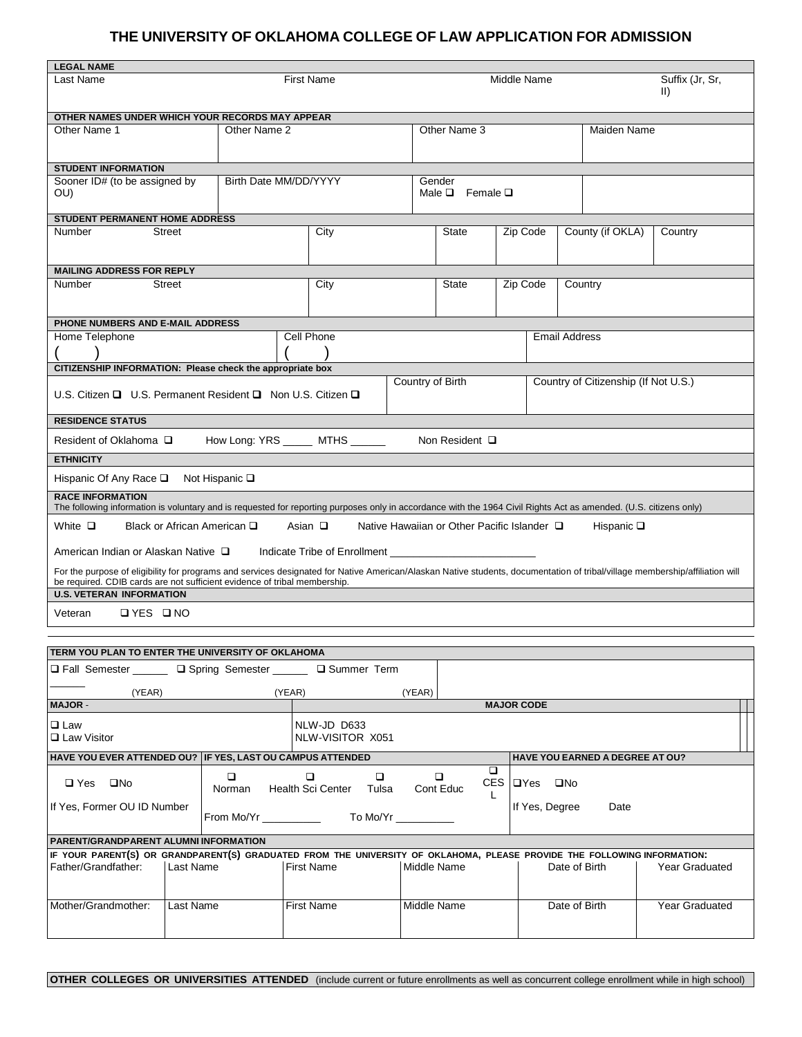## **THE UNIVERSITY OF OKLAHOMA COLLEGE OF LAW APPLICATION FOR ADMISSION**

| <b>LEGAL NAME</b>                                                                                                                                                                                                                                         |                   |                  |                                     |             |                                      |                                |         |  |  |
|-----------------------------------------------------------------------------------------------------------------------------------------------------------------------------------------------------------------------------------------------------------|-------------------|------------------|-------------------------------------|-------------|--------------------------------------|--------------------------------|---------|--|--|
| Last Name                                                                                                                                                                                                                                                 | <b>First Name</b> |                  |                                     | Middle Name |                                      | Suffix (Jr, Sr,<br>$\parallel$ |         |  |  |
| OTHER NAMES UNDER WHICH YOUR RECORDS MAY APPEAR                                                                                                                                                                                                           |                   |                  |                                     |             |                                      |                                |         |  |  |
| Other Name 1                                                                                                                                                                                                                                              | Other Name 2      |                  | Other Name 3                        |             |                                      | Maiden Name                    |         |  |  |
|                                                                                                                                                                                                                                                           |                   |                  |                                     |             |                                      |                                |         |  |  |
| <b>STUDENT INFORMATION</b>                                                                                                                                                                                                                                |                   |                  |                                     |             |                                      |                                |         |  |  |
| Birth Date MM/DD/YYYY<br>Sooner ID# (to be assigned by<br>OU)                                                                                                                                                                                             |                   |                  | Gender<br>Male $\Box$ Female $\Box$ |             |                                      |                                |         |  |  |
| <b>STUDENT PERMANENT HOME ADDRESS</b>                                                                                                                                                                                                                     |                   |                  |                                     |             |                                      |                                |         |  |  |
| <b>Street</b><br>Number                                                                                                                                                                                                                                   | City              |                  | <b>State</b>                        |             | Zip Code                             | County (if OKLA)               | Country |  |  |
| <b>MAILING ADDRESS FOR REPLY</b>                                                                                                                                                                                                                          |                   |                  |                                     |             |                                      |                                |         |  |  |
| <b>Street</b><br>Number                                                                                                                                                                                                                                   |                   | City             | State                               |             | Zip Code                             | Country                        |         |  |  |
| PHONE NUMBERS AND E-MAIL ADDRESS                                                                                                                                                                                                                          |                   |                  |                                     |             |                                      |                                |         |  |  |
| Home Telephone                                                                                                                                                                                                                                            |                   | Cell Phone       |                                     |             |                                      | <b>Email Address</b>           |         |  |  |
|                                                                                                                                                                                                                                                           |                   |                  |                                     |             |                                      |                                |         |  |  |
| CITIZENSHIP INFORMATION: Please check the appropriate box                                                                                                                                                                                                 |                   |                  |                                     |             |                                      |                                |         |  |  |
| U.S. Citizen $\Box$ U.S. Permanent Resident $\Box$ Non U.S. Citizen $\Box$                                                                                                                                                                                |                   | Country of Birth |                                     |             | Country of Citizenship (If Not U.S.) |                                |         |  |  |
| <b>RESIDENCE STATUS</b>                                                                                                                                                                                                                                   |                   |                  |                                     |             |                                      |                                |         |  |  |
| How Long: YRS ______ MTHS ______<br>Resident of Oklahoma □<br>Non Resident $\Box$                                                                                                                                                                         |                   |                  |                                     |             |                                      |                                |         |  |  |
| <b>ETHNICITY</b>                                                                                                                                                                                                                                          |                   |                  |                                     |             |                                      |                                |         |  |  |
| Hispanic Of Any Race $\square$<br>Not Hispanic $\square$                                                                                                                                                                                                  |                   |                  |                                     |             |                                      |                                |         |  |  |
| <b>RACE INFORMATION</b><br>The following information is voluntary and is requested for reporting purposes only in accordance with the 1964 Civil Rights Act as amended. (U.S. citizens only)                                                              |                   |                  |                                     |             |                                      |                                |         |  |  |
| White $\square$<br>Black or African American □<br>Asian $\Box$<br>Native Hawaiian or Other Pacific Islander □<br>Hispanic $\square$                                                                                                                       |                   |                  |                                     |             |                                      |                                |         |  |  |
| American Indian or Alaskan Native □<br>Indicate Tribe of Enrollment                                                                                                                                                                                       |                   |                  |                                     |             |                                      |                                |         |  |  |
| For the purpose of eligibility for programs and services designated for Native American/Alaskan Native students, documentation of tribal/village membership/affiliation will<br>be required. CDIB cards are not sufficient evidence of tribal membership. |                   |                  |                                     |             |                                      |                                |         |  |  |
| <b>U.S. VETERAN INFORMATION</b>                                                                                                                                                                                                                           |                   |                  |                                     |             |                                      |                                |         |  |  |
| ⊡YES ⊡NO<br>Veteran                                                                                                                                                                                                                                       |                   |                  |                                     |             |                                      |                                |         |  |  |
|                                                                                                                                                                                                                                                           |                   |                  |                                     |             |                                      |                                |         |  |  |

| TERM YOU PLAN TO ENTER THE UNIVERSITY OF OKLAHOMA                                                                        |           |                                                    |                   |                                 |                |               |  |                                        |  |                       |  |
|--------------------------------------------------------------------------------------------------------------------------|-----------|----------------------------------------------------|-------------------|---------------------------------|----------------|---------------|--|----------------------------------------|--|-----------------------|--|
| □ Fall Semester ______ □ Spring Semester _____ □ Summer Term                                                             |           |                                                    |                   |                                 |                |               |  |                                        |  |                       |  |
| (YEAR)<br>(YEAR)<br>(YEAR)                                                                                               |           |                                                    |                   |                                 |                |               |  |                                        |  |                       |  |
| <b>MAJOR-</b>                                                                                                            |           | <b>MAJOR CODE</b>                                  |                   |                                 |                |               |  |                                        |  |                       |  |
| $\Box$ Law<br>$\Box$ Law Visitor                                                                                         |           |                                                    |                   | NLW-JD D633<br>NLW-VISITOR X051 |                |               |  |                                        |  |                       |  |
| HAVE YOU EVER ATTENDED OU? IF YES, LAST OU CAMPUS ATTENDED                                                               |           |                                                    |                   |                                 |                |               |  | <b>HAVE YOU EARNED A DEGREE AT OU?</b> |  |                       |  |
| $\Box$ Yes $\Box$ No                                                                                                     |           | $\Box$<br>Norman Health Sci Center Tulsa Cont Educ | $\Box$            | $\Box$                          |                |               |  | CES <b>DYes</b> DNo                    |  |                       |  |
| If Yes, Former OU ID Number                                                                                              |           | From Mo/Yr To Mo/Yr                                |                   |                                 | If Yes, Degree | Date          |  |                                        |  |                       |  |
| <b>PARENT/GRANDPARENT ALUMNI INFORMATION</b>                                                                             |           |                                                    |                   |                                 |                |               |  |                                        |  |                       |  |
| IF YOUR PARENT(S) OR GRANDPARENT(S) GRADUATED FROM THE UNIVERSITY OF OKLAHOMA, PLEASE PROVIDE THE FOLLOWING INFORMATION: |           |                                                    |                   |                                 |                |               |  |                                        |  |                       |  |
| Father/Grandfather:                                                                                                      | Last Name |                                                    | <b>First Name</b> |                                 | Middle Name    |               |  | Date of Birth                          |  | <b>Year Graduated</b> |  |
| Mother/Grandmother:<br>Last Name                                                                                         |           | First Name                                         |                   | Middle Name                     |                | Date of Birth |  | <b>Year Graduated</b>                  |  |                       |  |

**OTHER COLLEGES OR UNIVERSITIES ATTENDED** (include current or future enrollments as well as concurrent college enrollment while in high school)